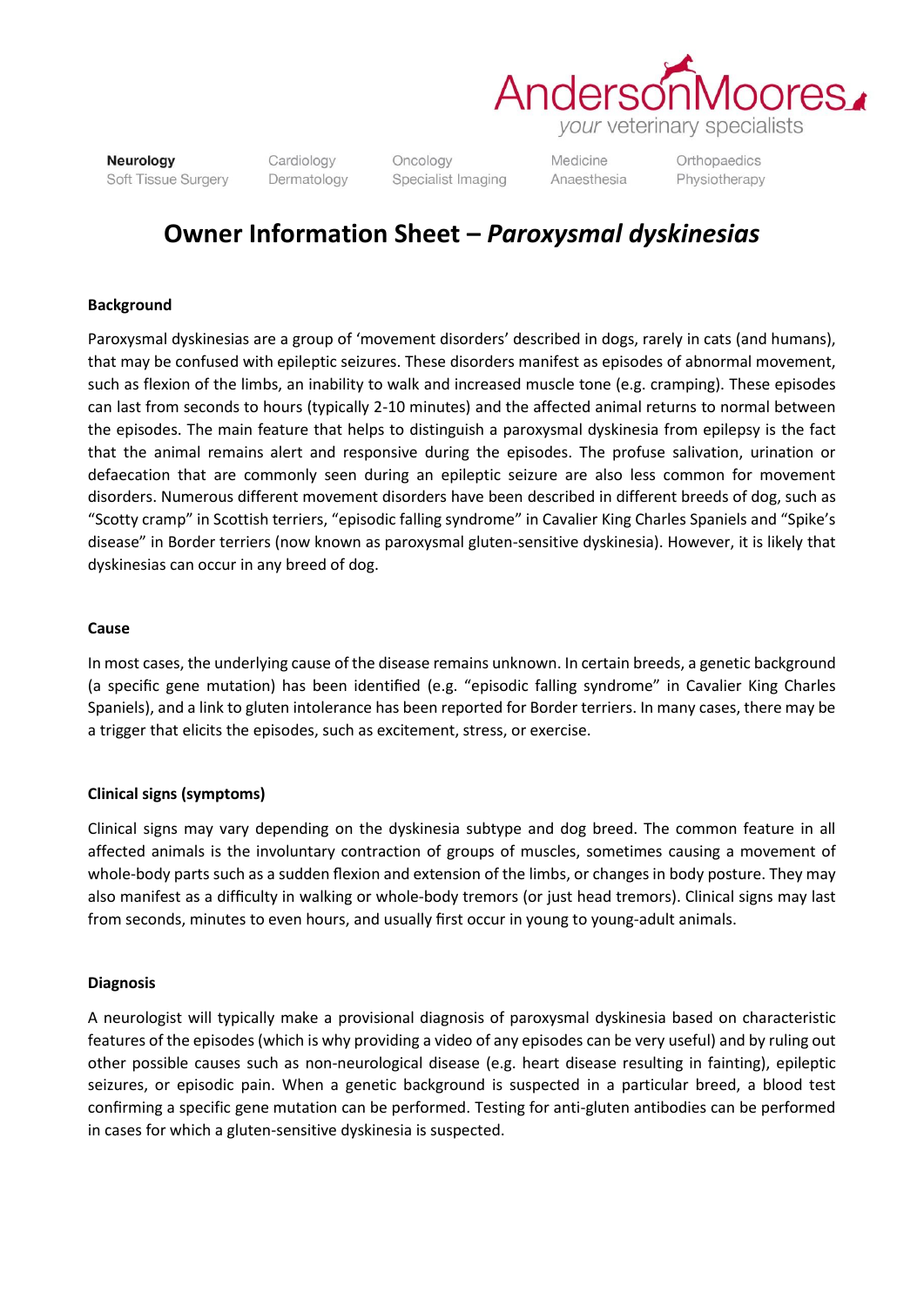

Neurology Soft Tissue Surgery Cardiology Dermatology Oncology Specialist Imaging

Medicine Anaesthesia Orthopaedics Physiotherapy

# **Owner Information Sheet –** *Paroxysmal dyskinesias*

### **Background**

Paroxysmal dyskinesias are a group of 'movement disorders' described in dogs, rarely in cats (and humans), that may be confused with epileptic seizures. These disorders manifest as episodes of abnormal movement, such as flexion of the limbs, an inability to walk and increased muscle tone (e.g. cramping). These episodes can last from seconds to hours (typically 2-10 minutes) and the affected animal returns to normal between the episodes. The main feature that helps to distinguish a paroxysmal dyskinesia from epilepsy is the fact that the animal remains alert and responsive during the episodes. The profuse salivation, urination or defaecation that are commonly seen during an epileptic seizure are also less common for movement disorders. Numerous different movement disorders have been described in different breeds of dog, such as "Scotty cramp" in Scottish terriers, "episodic falling syndrome" in Cavalier King Charles Spaniels and "Spike's disease" in Border terriers (now known as paroxysmal gluten-sensitive dyskinesia). However, it is likely that dyskinesias can occur in any breed of dog.

#### **Cause**

In most cases, the underlying cause of the disease remains unknown. In certain breeds, a genetic background (a specific gene mutation) has been identified (e.g. "episodic falling syndrome" in Cavalier King Charles Spaniels), and a link to gluten intolerance has been reported for Border terriers. In many cases, there may be a trigger that elicits the episodes, such as excitement, stress, or exercise.

#### **Clinical signs (symptoms)**

Clinical signs may vary depending on the dyskinesia subtype and dog breed. The common feature in all affected animals is the involuntary contraction of groups of muscles, sometimes causing a movement of whole-body parts such as a sudden flexion and extension of the limbs, or changes in body posture. They may also manifest as a difficulty in walking or whole-body tremors (or just head tremors). Clinical signs may last from seconds, minutes to even hours, and usually first occur in young to young-adult animals.

#### **Diagnosis**

A neurologist will typically make a provisional diagnosis of paroxysmal dyskinesia based on characteristic features of the episodes (which is why providing a video of any episodes can be very useful) and by ruling out other possible causes such as non-neurological disease (e.g. heart disease resulting in fainting), epileptic seizures, or episodic pain. When a genetic background is suspected in a particular breed, a blood test confirming a specific gene mutation can be performed. Testing for anti-gluten antibodies can be performed in cases for which a gluten-sensitive dyskinesia is suspected.